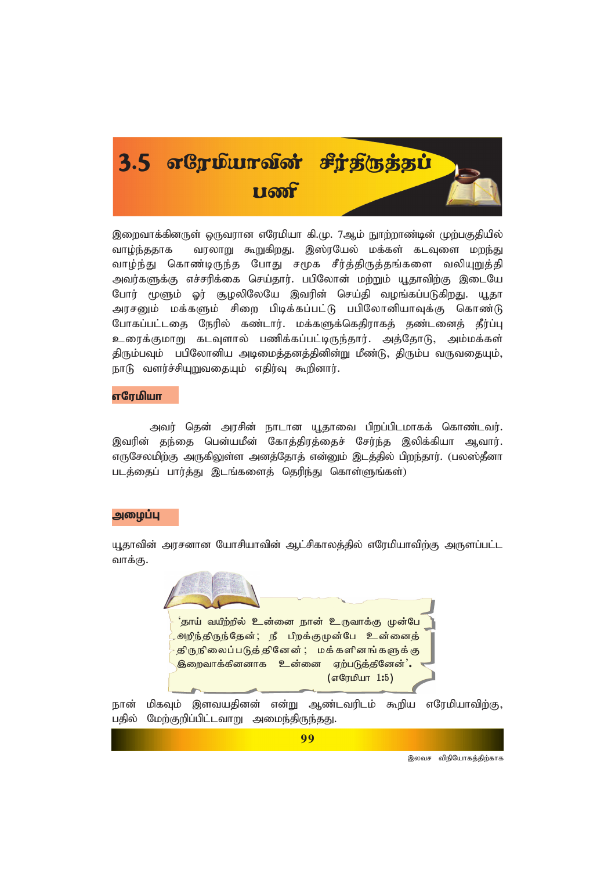

இறைவாக்கினருள் ஒருவாரன எரேமியா கி.மு. 7ஆம் நாற்றாண்டின் முற்பகுகியில் வரலாறு கூறுகிறது. இஸ்ரயேல் மக்கள் கடவுளை மறந்து வாம்ந்ககாக வாழ்ந்து கொண்டிருந்த போது சமூக சீர்த்திருத்தங்களை வலியுறுத்தி அவர்களுக்கு எச்சரிக்கை செய்தார். பபிலோன் மற்றும் யூதாவிற்கு இடையே போர் மூளும் ஓர் சூழலிலேயே இவரின் செய்தி வழங்கப்படுகிறது. யூதா அரசனும் மக்களும் சிறை பிடிக்கப்பட்டு பபிலோனியாவுக்கு கொண்டு போகப்பட்டதை நேரில் கண்டார். மக்களுக்கெதிராகத் தண்டனைத் தீர்ப்பு உரைக்குமாறு கடவுளால் பணிக்கப்பட்டிருந்தார். அத்தோடு, அம்மக்கள் திரும்பவும் பபிலோனிய அடிமைத்தனத்தினின்று மீண்டு, திரும்ப வருவதையும், நாடு வளர்ச்சியுறுவதையும் எதிர்வு கூறினார்.

### எரேமியா

அவர் தென் அரசின் நாடான யூதாவை பிறப்பிடமாகக் கொண்டவர். இவரின் தந்தை பென்யமீன் கோத்திரத்தைச் சேர்ந்த இலிக்கியா ஆவார். எருசேலமிற்கு அருகிலுள்ள அனத்தோத் என்னும் இடத்தில் பிறந்தார். (பலஸ்தீனா படத்தைப் பார்த்து இடங்களைத் தெரிந்து கொள்ளுங்கள்)

#### அமைப்பு

யூதாவின் அரசனான யோசியாவின் ஆட்சிகாலத்தில் எரேமியாவிற்கு அருளப்பட்ட வாக்கு.



நான் மிகவும் இளவயதினன் என்று ஆண்டவரிடம் கூறிய எரேமியாவிற்கு, பதில் மேற்குறிப்பிட்டவாறு அமைந்திருந்தது.

99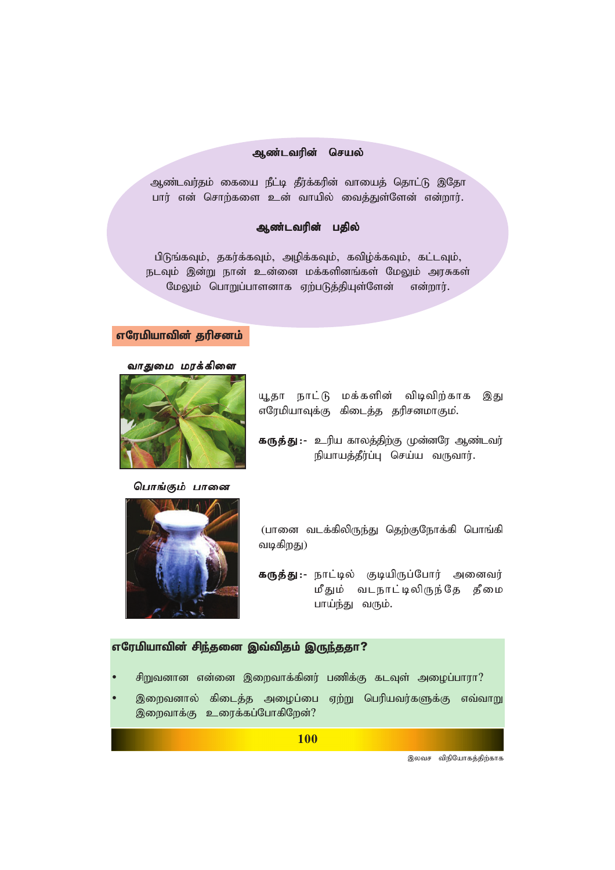### *Mz;ltupd; nray; Mz;ltupd;*

ஆண்டவர்தம் கையை நீட்டி தீர்க்கரின் வாயைத் தொட்டு இதோ பார் என் சொற்களை உன் வாயில் வைத்துள்ளேன் என்றார்.

### ஆண்டவரின் பதில்

பிடுங்கவும், தகர்க்கவும், அழிக்கவும், கவிழ்க்கவும், கட்டவும், நடவும் இன்று நான் உன்னை மக்களினங்கள் மேலும் அரசுகள் மேலும் பொறுப்பாளனாக ஏற்படுத்தியுள்ளேன் என்றார்.

### எரேமியாவின் தரிசனம்





யூதா நாட்டு மக்களின் விடிவிற்காக இது எரேமியாவுக்கு கிடைத்த தரிசனமாகும்.

**கருத்து:-** உரிய காலத்திற்கு முன்னரே ஆண்டவர் நியாயத்தீர்ப்பு செய்ய வருவார்.





*(*பானை வடக்கிலிருந்து தெற்குநோக்கி பொங்கி *tbfpwJ)*

**கருத்து:**- நாட்டில் குடியிருப்போர் அனைவர் மீதும் வடநாட்டிலிருந்தே தீமை பாய்ந்து வரும்.

## எரேமியாவின் சிந்தனை இவ்விதம் இருந்ததா?

- சிறுவனான என்னை இறைவாக்கினர் பணிக்கு கடவுள் அழைப்பாரா?
- இறைவனால் கிடைத்த அழைப்பை ஏற்று பெரியவர்களுக்கு எவ்வாறு இறைவாக்கு உரைக்கப்போகிறேன்?

**100**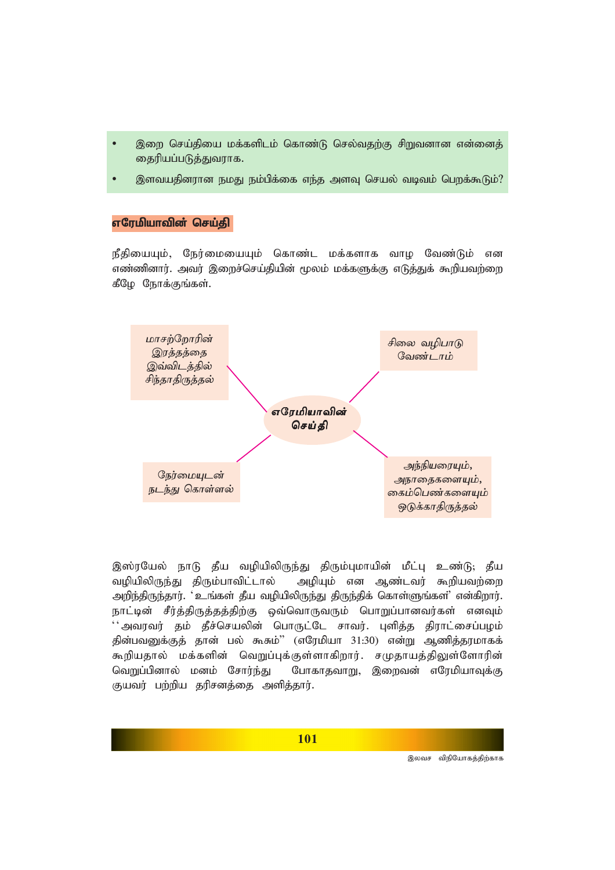- இறை செய்தியை மக்களிடம் கொண்டு செல்வதற்கு சிறுவனான என்னைத் தைரியப்படுத்துவராக.
- இளவயதினரான நமது நம்பிக்கை எந்த அளவு செயல் வடிவம் பெறக்கூடும்?

#### எரேமியாவின் செய்கி

நீதியையும், நேர்மையையும் கொண்ட மக்களாக வாழ வேண்டும் என *எண்*ணினார். அவர் இறைச்செய்தியின் மூலம் மக்களுக்கு எடுத்துக் கூறியவற்றை கீழே நோக்குங்கள்.



இஸ்ரயேல் நாடு தீய வழியிலிருந்து திரும்புமாயின் மீட்பு உண்டு; தீய வழியிலிருந்து திரும்பாவிட்டால் அழியும் என ஆண்டவர் கூறியவற்றை அறிந்திருந்தார். <sup>•</sup>உங்கள் தீய வழியிலிருந்து திருந்திக் கொள்ளுங்கள்' என்கிறார். நாட்டின் சீர்த்திருத்தத்திற்கு ஒவ்வொருவரும் பொறுப்பானவர்கள் எனவும்  $^{\prime\prime}$ அவரவர் தம் தீச்செயலின் பொருட்டே சாவர். புளித்த திராட்சைப்பழம் தின்பவனுக்குத் தான் பல் கூசும்'' (எரேமியா 31:30) என்று ஆணித்தரமாகக் கூறியதால் மக்களின் வெறுப்புக்குள்ளாகிறார். சமுதாயத்திலுள்ளோரின் வெறுப்பினால் மனம் சோர்ந்து போகாதவாறு, இறைவன் எரேமியாவுக்கு குயவர் பற்றிய தரிசனத்தை அளித்தார்.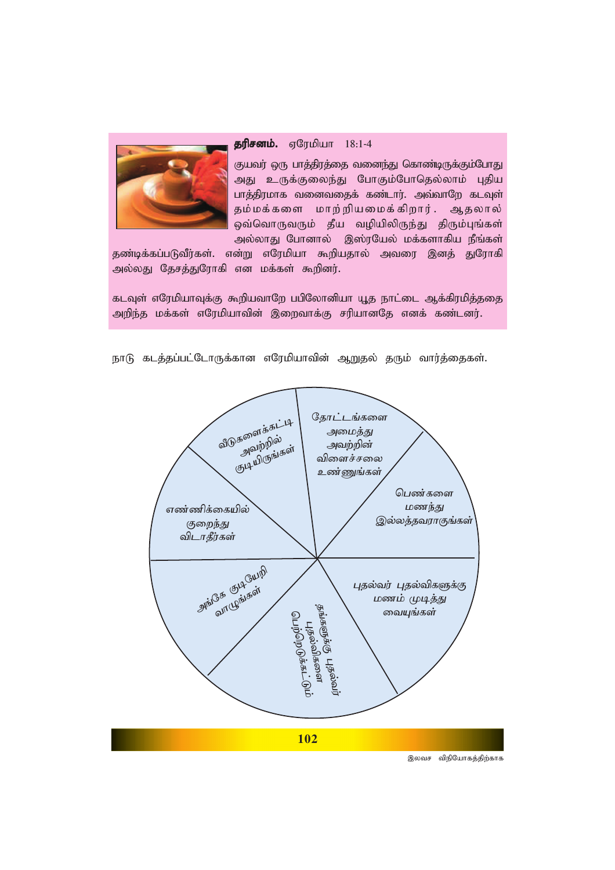

### **தரிசனம்.** ஏரேமியா 18:1-4

குயவர் ஒரு பாத்திரத்தை வனைந்து கொண்டிருக்கும்போது அது உருக்குலைந்து போகும்போதெல்லாம் புதிய பாத்திரமாக வனைவதைக் கண்டார். அவ்வாறே கடவுள் தம்மக்களை மாற்றியமைக்கிறார். ஆதலால் ஒவ்வொருவரும் தீய வழியிலிருந்து திரும்புங்கள் அல்லாது போனால் இஸ்ரயேல் மக்களாகிய நீங்கள்

தண்டிக்கப்படுவீர்கள். என்று எரேமியா கூறியதால் அவரை இனத் துரோகி அல்லது தேசத்துரோகி என மக்கள் கூறினர்.

கடவுள் எரேமியாவுக்கு கூறியவாறே பபிலோனியா யூத நாட்டை ஆக்கிரமித்ததை அறிந்த மக்கள் எரேமியாவின் இறைவாக்கு சரியானதே எனக் கண்டனர்.



நாடு கடத்தப்பட்டோருக்கான எரேமியாவின் ஆறுதல் தரும் வார்த்தைகள்.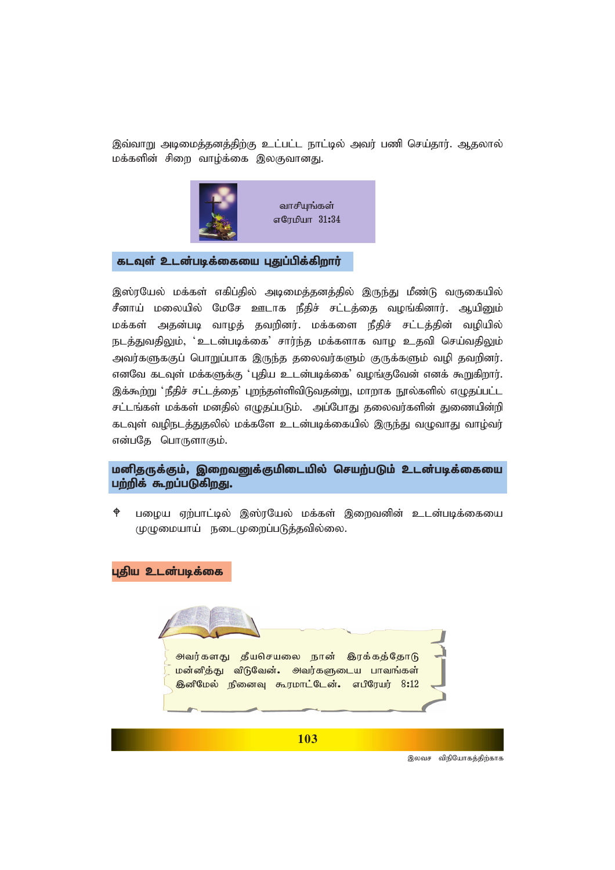இவ்வாறு அடிமைத்தனத்திற்கு உட்பட்ட நாட்டில் அவர் பணி செய்தார். ஆதலால் மக்களின் சிறை வாழ்க்கை இலகுவானது.



### கடவுள் உடன்படிக்கையை புதுப்பிக்கிறார்

இஸ்ரயேல் மக்கள் எகிப்தில் அடிமைத்தனத்தில் இருந்து மீண்டு வருகையில் சீனாய் மலையில் மேசே ஊடாக நீதிச் சட்டத்தை வழங்கினார். ஆயினும் மக்கள் அதன்படி வாழத் தவறினர். மக்களை நீதிச் சட்டத்தின் வழியில் நடத்துவதிலும், ' உடன்படிக்கை' சார்ந்த மக்களாக வாழ உதவி செய்வதிலும் அவர்களுககுப் பொறுப்பாக இருந்த தலைவர்களும் குருக்களும் வழி தவறினர். எனவே கடவுள் மக்களுக்கு 'புதிய உடன்படிக்கை' வழங்குவேன் எனக் கூறுகிறார். இக்கூற்று 'நீதிச் சட்டத்தை' புறந்தள்ளிவிடுவதன்று, மாறாக நூல்களில் எழுதப்பட்ட *rl;lq;fs; kf;fs; kdjpy; vOjg;gLk;. mg;NghJ jiytu;fspd; Jizapd;wp* கடவுள் வழிநடத்துதலில் மக்களே உடன்படிக்கையில் இருந்து வழுவாது வாழ்வர் என்பதே பொருளாகும்.

# மனிதருக்கும், இறைவனுக்குமிடையில் செயற்படும் உடன்படிக்கையை பற்றிக் கூறப்படுகிறது.

 $\phi$  பழைய ஏற்பாட்டில் இஸ்ரயேல் மக்கள் இறைவனின் உடன்படிக்கையை (முழுமையாய் நடைமுறைப்படுத்தவில்லை.

புதிய உடன்படிக்கை



**103**